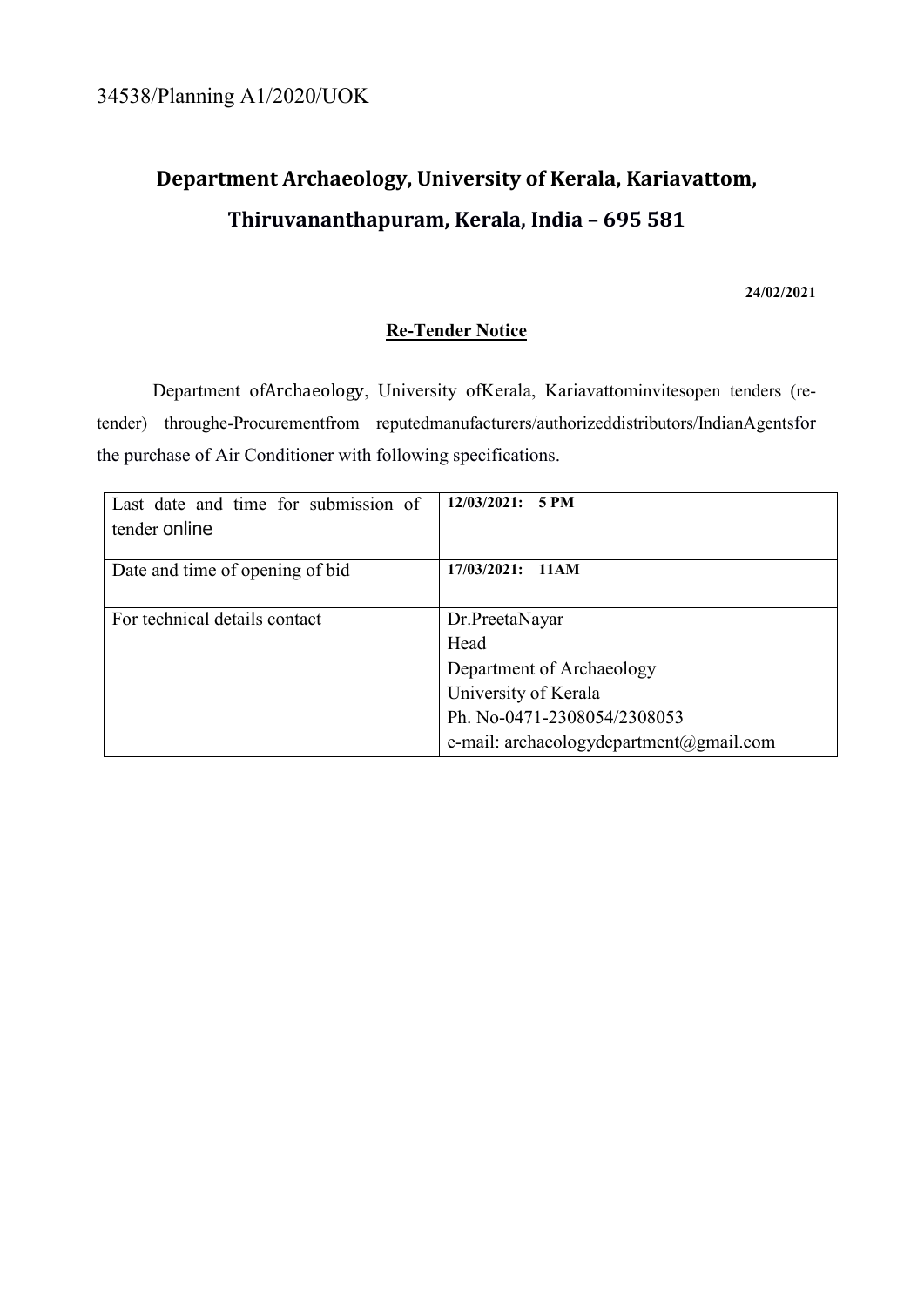# **Department Archaeology, University of Kerala, Kariavattom, Thiruvananthapuram, Kerala, India – 695 581**

#### **24/02/2021**

# **Re-Tender Notice**

Department ofArchaeology, University ofKerala, Kariavattominvitesopen tenders (retender) throughe-Procurementfrom reputedmanufacturers/authorizeddistributors/IndianAgentsfor the purchase of Air Conditioner with following specifications.

| Last date and time for submission of | 12/03/2021:<br><b>5 PM</b>              |
|--------------------------------------|-----------------------------------------|
| tender online                        |                                         |
| Date and time of opening of bid      | $17/03/2021$ : $11AM$                   |
| For technical details contact        | Dr.PreetaNayar                          |
|                                      | Head                                    |
|                                      | Department of Archaeology               |
|                                      | University of Kerala                    |
|                                      | Ph. No-0471-2308054/2308053             |
|                                      | e-mail: archaeologydepartment@gmail.com |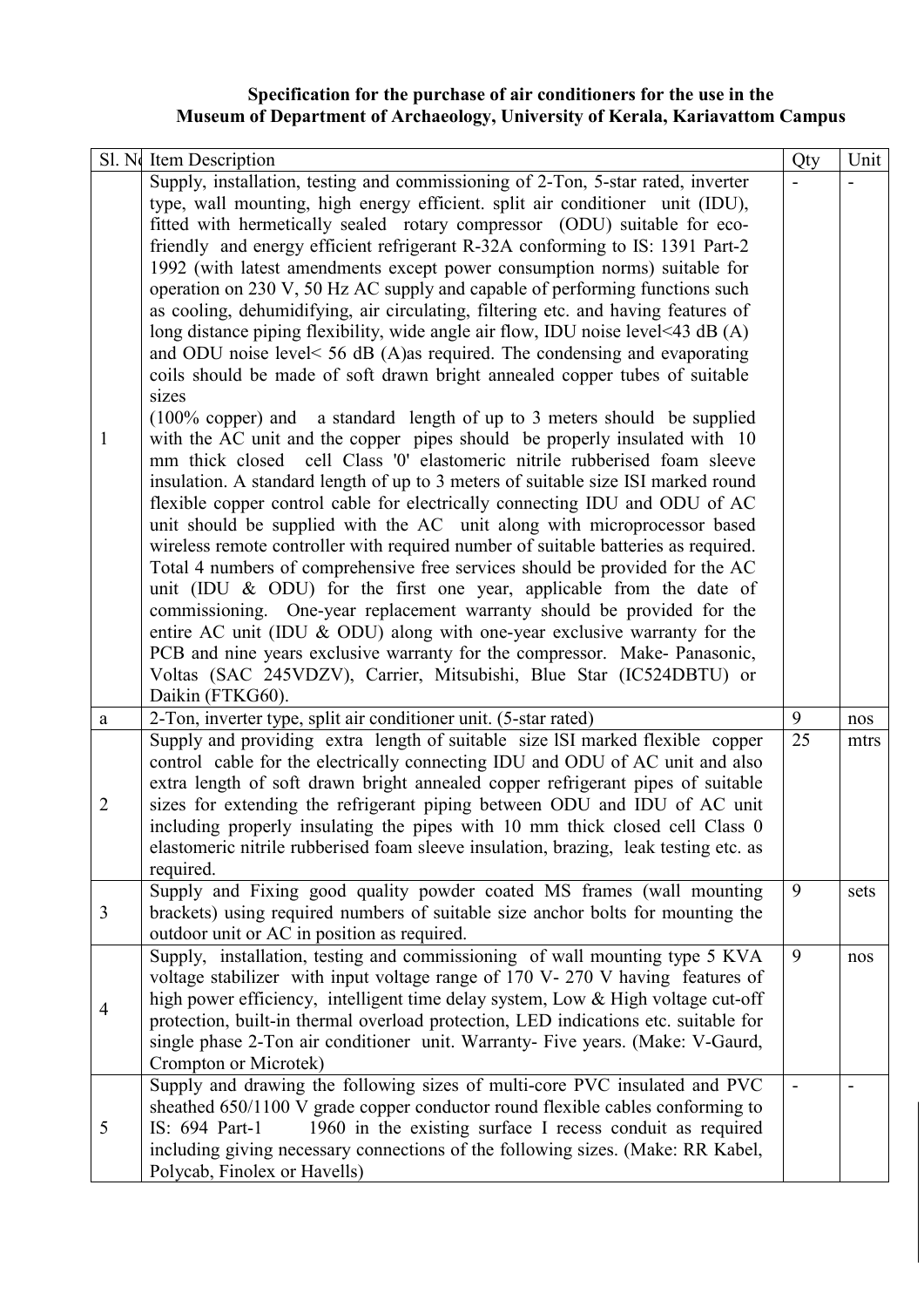### **Specification for the purchase of air conditioners for the use in the Museum of Department of Archaeology, University of Kerala, Kariavattom Campus**

|                | Sl. No Item Description                                                                                                                                      | Qty | Unit |
|----------------|--------------------------------------------------------------------------------------------------------------------------------------------------------------|-----|------|
|                | Supply, installation, testing and commissioning of 2-Ton, 5-star rated, inverter                                                                             |     |      |
|                | type, wall mounting, high energy efficient. split air conditioner unit (IDU),                                                                                |     |      |
|                | fitted with hermetically sealed rotary compressor (ODU) suitable for eco-                                                                                    |     |      |
|                | friendly and energy efficient refrigerant R-32A conforming to IS: 1391 Part-2                                                                                |     |      |
|                | 1992 (with latest amendments except power consumption norms) suitable for                                                                                    |     |      |
|                | operation on 230 V, 50 Hz AC supply and capable of performing functions such                                                                                 |     |      |
|                | as cooling, dehumidifying, air circulating, filtering etc. and having features of                                                                            |     |      |
|                | long distance piping flexibility, wide angle air flow, IDU noise level<43 dB (A)                                                                             |     |      |
|                | and ODU noise level< 56 dB (A)as required. The condensing and evaporating                                                                                    |     |      |
|                | coils should be made of soft drawn bright annealed copper tubes of suitable                                                                                  |     |      |
|                | sizes                                                                                                                                                        |     |      |
| $\mathbf{1}$   | (100% copper) and a standard length of up to 3 meters should be supplied<br>with the AC unit and the copper pipes should be properly insulated with 10       |     |      |
|                | mm thick closed cell Class '0' elastomeric nitrile rubberised foam sleeve                                                                                    |     |      |
|                | insulation. A standard length of up to 3 meters of suitable size ISI marked round                                                                            |     |      |
|                | flexible copper control cable for electrically connecting IDU and ODU of AC                                                                                  |     |      |
|                | unit should be supplied with the AC unit along with microprocessor based                                                                                     |     |      |
|                | wireless remote controller with required number of suitable batteries as required.                                                                           |     |      |
|                | Total 4 numbers of comprehensive free services should be provided for the AC                                                                                 |     |      |
|                | unit (IDU & ODU) for the first one year, applicable from the date of                                                                                         |     |      |
|                | commissioning. One-year replacement warranty should be provided for the                                                                                      |     |      |
|                | entire AC unit (IDU & ODU) along with one-year exclusive warranty for the                                                                                    |     |      |
|                | PCB and nine years exclusive warranty for the compressor. Make- Panasonic,                                                                                   |     |      |
|                | Voltas (SAC 245VDZV), Carrier, Mitsubishi, Blue Star (IC524DBTU) or                                                                                          |     |      |
|                | Daikin (FTKG60).                                                                                                                                             |     |      |
| a              | 2-Ton, inverter type, split air conditioner unit. (5-star rated)                                                                                             | 9   | nos  |
|                | Supply and providing extra length of suitable size ISI marked flexible copper                                                                                | 25  | mtrs |
|                | control cable for the electrically connecting IDU and ODU of AC unit and also                                                                                |     |      |
|                | extra length of soft drawn bright annealed copper refrigerant pipes of suitable                                                                              |     |      |
| $\mathbf{2}$   | sizes for extending the refrigerant piping between ODU and IDU of AC unit                                                                                    |     |      |
|                | including properly insulating the pipes with 10 mm thick closed cell Class 0                                                                                 |     |      |
|                | elastomeric nitrile rubberised foam sleeve insulation, brazing, leak testing etc. as                                                                         |     |      |
|                | required.                                                                                                                                                    |     |      |
|                | Supply and Fixing good quality powder coated MS frames (wall mounting                                                                                        | 9   | sets |
| 3              | brackets) using required numbers of suitable size anchor bolts for mounting the                                                                              |     |      |
|                | outdoor unit or AC in position as required.                                                                                                                  | 9   |      |
|                | Supply, installation, testing and commissioning of wall mounting type 5 KVA<br>voltage stabilizer with input voltage range of 170 V-270 V having features of |     | nos  |
|                | high power efficiency, intelligent time delay system, Low & High voltage cut-off                                                                             |     |      |
| $\overline{4}$ | protection, built-in thermal overload protection, LED indications etc. suitable for                                                                          |     |      |
|                | single phase 2-Ton air conditioner unit. Warranty- Five years. (Make: V-Gaurd,                                                                               |     |      |
|                | Crompton or Microtek)                                                                                                                                        |     |      |
|                | Supply and drawing the following sizes of multi-core PVC insulated and PVC                                                                                   |     |      |
| 5              | sheathed 650/1100 V grade copper conductor round flexible cables conforming to                                                                               |     |      |
|                | 1960 in the existing surface I recess conduit as required<br>IS: 694 Part-1                                                                                  |     |      |
|                | including giving necessary connections of the following sizes. (Make: RR Kabel,                                                                              |     |      |
|                | Polycab, Finolex or Havells)                                                                                                                                 |     |      |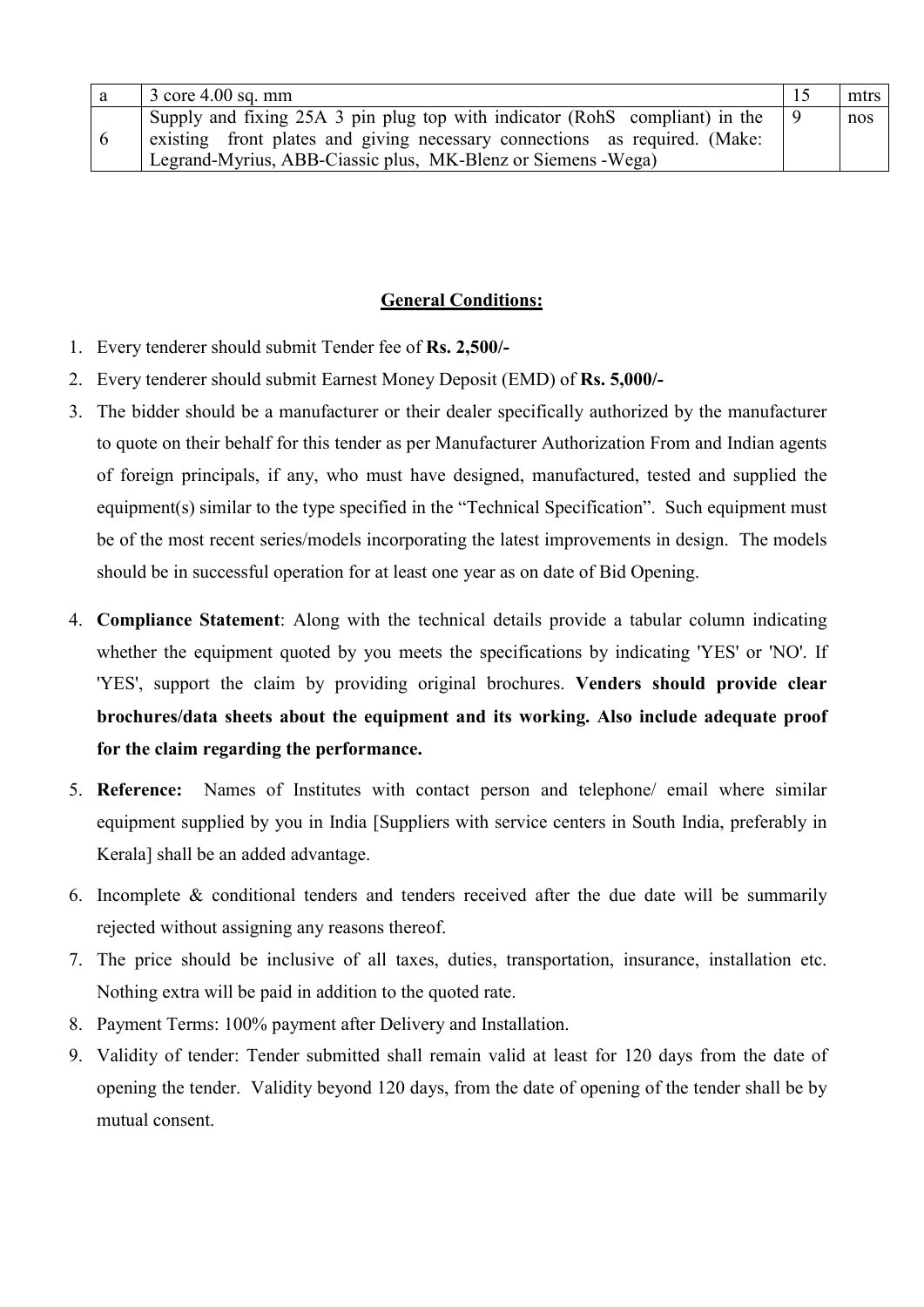| $3$ core 4.00 sq. mm                                                                                                                                      | mtrs |
|-----------------------------------------------------------------------------------------------------------------------------------------------------------|------|
| Supply and fixing 25A 3 pin plug top with indicator (RohS compliant) in the<br>existing front plates and giving necessary connections as required. (Make: | nos  |
| Legrand-Myrius, ABB-Ciassic plus, MK-Blenz or Siemens -Wega)                                                                                              |      |

### **General Conditions:**

- 1. Every tenderer should submit Tender fee of **Rs. 2,500/-**
- 2. Every tenderer should submit Earnest Money Deposit (EMD) of **Rs. 5,000/-**
- 3. The bidder should be a manufacturer or their dealer specifically authorized by the manufacturer to quote on their behalf for this tender as per Manufacturer Authorization From and Indian agents of foreign principals, if any, who must have designed, manufactured, tested and supplied the equipment(s) similar to the type specified in the "Technical Specification". Such equipment must be of the most recent series/models incorporating the latest improvements in design. The models should be in successful operation for at least one year as on date of Bid Opening.
- 4. **Compliance Statement**: Along with the technical details provide a tabular column indicating whether the equipment quoted by you meets the specifications by indicating 'YES' or 'NO'. If 'YES', support the claim by providing original brochures. **Venders should provide clear brochures/data sheets about the equipment and its working. Also include adequate proof for the claim regarding the performance.**
- 5. **Reference:** Names of Institutes with contact person and telephone/ email where similar equipment supplied by you in India [Suppliers with service centers in South India, preferably in Kerala] shall be an added advantage.
- 6. Incomplete & conditional tenders and tenders received after the due date will be summarily rejected without assigning any reasons thereof.
- 7. The price should be inclusive of all taxes, duties, transportation, insurance, installation etc. Nothing extra will be paid in addition to the quoted rate.
- 8. Payment Terms: 100% payment after Delivery and Installation.
- 9. Validity of tender: Tender submitted shall remain valid at least for 120 days from the date of opening the tender. Validity beyond 120 days, from the date of opening of the tender shall be by mutual consent.